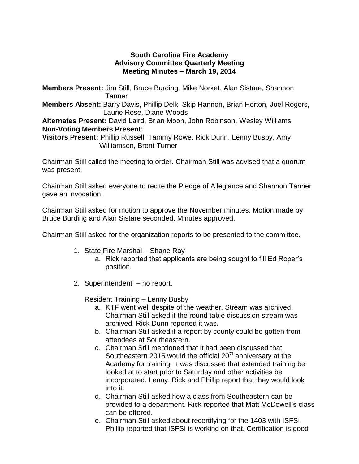## **South Carolina Fire Academy Advisory Committee Quarterly Meeting Meeting Minutes – March 19, 2014**

**Members Present:** Jim Still, Bruce Burding, Mike Norket, Alan Sistare, Shannon **Tanner** 

**Members Absent:** Barry Davis, Phillip Delk, Skip Hannon, Brian Horton, Joel Rogers, Laurie Rose, Diane Woods

**Alternates Present:** David Laird, Brian Moon, John Robinson, Wesley Williams **Non-Voting Members Present**:

**Visitors Present:** Phillip Russell, Tammy Rowe, Rick Dunn, Lenny Busby, Amy Williamson, Brent Turner

Chairman Still called the meeting to order. Chairman Still was advised that a quorum was present.

Chairman Still asked everyone to recite the Pledge of Allegiance and Shannon Tanner gave an invocation.

Chairman Still asked for motion to approve the November minutes. Motion made by Bruce Burding and Alan Sistare seconded. Minutes approved.

Chairman Still asked for the organization reports to be presented to the committee.

- 1. State Fire Marshal Shane Ray
	- a. Rick reported that applicants are being sought to fill Ed Roper's position.
- 2. Superintendent no report.

Resident Training – Lenny Busby

- a. KTF went well despite of the weather. Stream was archived. Chairman Still asked if the round table discussion stream was archived. Rick Dunn reported it was.
- b. Chairman Still asked if a report by county could be gotten from attendees at Southeastern.
- c. Chairman Still mentioned that it had been discussed that Southeastern 2015 would the official  $20<sup>th</sup>$  anniversary at the Academy for training. It was discussed that extended training be looked at to start prior to Saturday and other activities be incorporated. Lenny, Rick and Phillip report that they would look into it.
- d. Chairman Still asked how a class from Southeastern can be provided to a department. Rick reported that Matt McDowell's class can be offered.
- e. Chairman Still asked about recertifying for the 1403 with ISFSI. Phillip reported that ISFSI is working on that. Certification is good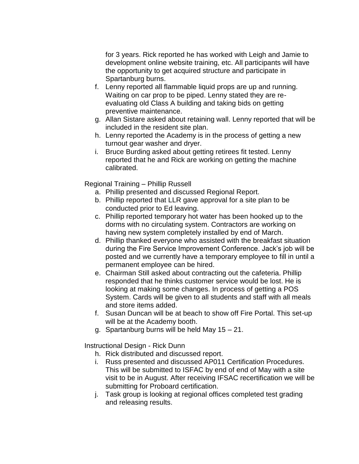for 3 years. Rick reported he has worked with Leigh and Jamie to development online website training, etc. All participants will have the opportunity to get acquired structure and participate in Spartanburg burns.

- f. Lenny reported all flammable liquid props are up and running. Waiting on car prop to be piped. Lenny stated they are reevaluating old Class A building and taking bids on getting preventive maintenance.
- g. Allan Sistare asked about retaining wall. Lenny reported that will be included in the resident site plan.
- h. Lenny reported the Academy is in the process of getting a new turnout gear washer and dryer.
- i. Bruce Burding asked about getting retirees fit tested. Lenny reported that he and Rick are working on getting the machine calibrated.

Regional Training – Phillip Russell

- a. Phillip presented and discussed Regional Report.
- b. Phillip reported that LLR gave approval for a site plan to be conducted prior to Ed leaving.
- c. Phillip reported temporary hot water has been hooked up to the dorms with no circulating system. Contractors are working on having new system completely installed by end of March.
- d. Phillip thanked everyone who assisted with the breakfast situation during the Fire Service Improvement Conference. Jack's job will be posted and we currently have a temporary employee to fill in until a permanent employee can be hired.
- e. Chairman Still asked about contracting out the cafeteria. Phillip responded that he thinks customer service would be lost. He is looking at making some changes. In process of getting a POS System. Cards will be given to all students and staff with all meals and store items added.
- f. Susan Duncan will be at beach to show off Fire Portal. This set-up will be at the Academy booth.
- g. Spartanburg burns will be held May 15 21.

Instructional Design - Rick Dunn

- h. Rick distributed and discussed report.
- i. Russ presented and discussed AP011 Certification Procedures. This will be submitted to ISFAC by end of end of May with a site visit to be in August. After receiving IFSAC recertification we will be submitting for Proboard certification.
- j. Task group is looking at regional offices completed test grading and releasing results.